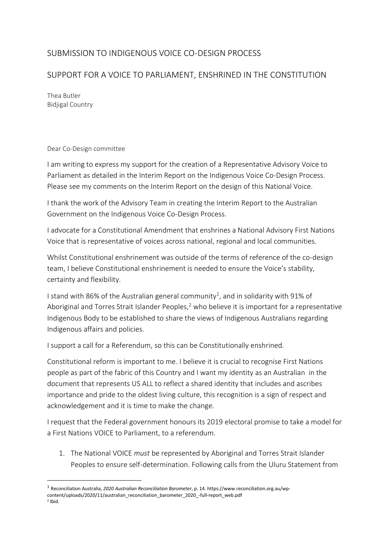## SUBMISSION TO INDIGENOUS VOICE CO-DESIGN PROCESS

## SUPPORT FOR A VOICE TO PARLIAMENT, ENSHRINED IN THE CONSTITUTION

Thea Butler Bidjigal Country

## Dear Co-Design committee

I am writing to express my support for the creation of a Representative Advisory Voice to Parliament as detailed in the Interim Report on the Indigenous Voice Co-Design Process. Please see my comments on the Interim Report on the design of this National Voice.

I thank the work of the Advisory Team in creating the Interim Report to the Australian Government on the Indigenous Voice Co-Design Process.

I advocate for a Constitutional Amendment that enshrines a National Advisory First Nations Voice that is representative of voices across national, regional and local communities.

Whilst Constitutional enshrinement was outside of the terms of reference of the co-design team, I believe Constitutional enshrinement is needed to ensure the Voice's stability, certainty and flexibility.

I stand with 86% of the Australian general community<sup>1</sup>, and in solidarity with 91% of Aboriginal and Torres Strait Islander Peoples,<sup>2</sup> who believe it is important for a representative Indigenous Body to be established to share the views of Indigenous Australians regarding Indigenous affairs and policies.

I support a call for a Referendum, so this can be Constitutionally enshrined.

Constitutional reform is important to me. I believe it is crucial to recognise First Nations people as part of the fabric of this Country and I want my identity as an Australian in the document that represents US ALL to reflect a shared identity that includes and ascribes importance and pride to the oldest living culture, this recognition is a sign of respect and acknowledgement and it is time to make the change.

I request that the Federal government honours its 2019 electoral promise to take a model for a First Nations VOICE to Parliament, to a referendum.

1. The National VOICE *must* be represented by Aboriginal and Torres Strait Islander Peoples to ensure self-determination. Following calls from the Uluru Statement from

<sup>1</sup> Reconciliation Australia, *2020 Australian Reconciliation Barometer*, p. 14. https://www.reconciliation.org.au/wpcontent/uploads/2020/11/australian\_reconciliation\_barometer\_2020\_-full-report\_web.pdf  $2$  Ibid.